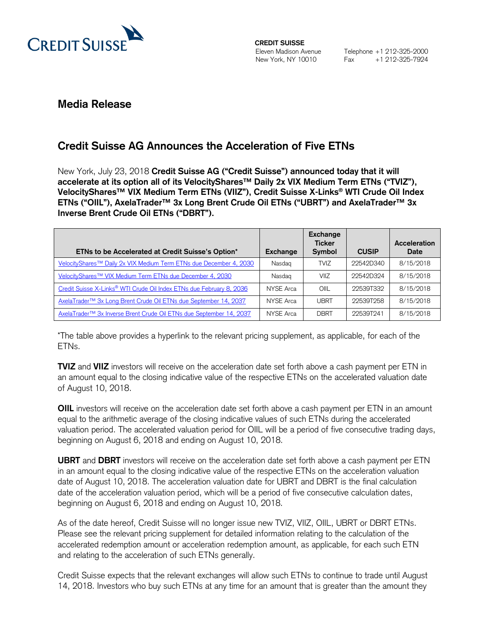

**CREDIT SUISSE**  Eleven Madison Avenue New York, NY 10010

## **Media Release**

# **Credit Suisse AG Announces the Acceleration of Five ETNs**

New York, July 23, 2018 **Credit Suisse AG ("Credit Suisse") announced today that it will accelerate at its option all of its VelocityShares™ Daily 2x VIX Medium Term ETNs ("TVIZ"), VelocityShares™ VIX Medium Term ETNs (VIIZ"), Credit Suisse X-Links® WTI Crude Oil Index ETNs ("OIIL"), AxelaTrader™ 3x Long Brent Crude Oil ETNs ("UBRT") and AxelaTrader™ 3x Inverse Brent Crude Oil ETNs ("DBRT").**

| ETNs to be Accelerated at Credit Suisse's Option*                                | Exchange  | Exchange<br><b>Ticker</b><br><b>Symbol</b> | <b>CUSIP</b> | Acceleration<br>Date |
|----------------------------------------------------------------------------------|-----------|--------------------------------------------|--------------|----------------------|
| VelocityShares <sup>™</sup> Daily 2x VIX Medium Term ETNs due December 4, 2030   | Nasdag    | <b>TVIZ</b>                                | 22542D340    | 8/15/2018            |
| VelocityShares <sup>™</sup> VIX Medium Term ETNs due December 4, 2030            | Nasdag    | VIIZ                                       | 22542D324    | 8/15/2018            |
| Credit Suisse X-Links <sup>®</sup> WTI Crude Oil Index ETNs due February 8, 2036 | NYSE Arca | OIII                                       | 22539T332    | 8/15/2018            |
| AxelaTrader <sup>™</sup> 3x Long Brent Crude Oil ETNs due September 14, 2037     | NYSE Arca | <b>UBRT</b>                                | 22539T258    | 8/15/2018            |
| AxelaTrader <sup>™</sup> 3x Inverse Brent Crude Oil ETNs due September 14, 2037  | NYSE Arca | <b>DBRT</b>                                | 22539T241    | 8/15/2018            |

\*The table above provides a hyperlink to the relevant pricing supplement, as applicable, for each of the ETNs.

**TVIZ** and **VIIZ** investors will receive on the acceleration date set forth above a cash payment per ETN in an amount equal to the closing indicative value of the respective ETNs on the accelerated valuation date of August 10, 2018.

**OIIL** investors will receive on the acceleration date set forth above a cash payment per ETN in an amount equal to the arithmetic average of the closing indicative values of such ETNs during the accelerated valuation period. The accelerated valuation period for OIIL will be a period of five consecutive trading days, beginning on August 6, 2018 and ending on August 10, 2018.

**UBRT** and **DBRT** investors will receive on the acceleration date set forth above a cash payment per ETN in an amount equal to the closing indicative value of the respective ETNs on the acceleration valuation date of August 10, 2018. The acceleration valuation date for UBRT and DBRT is the final calculation date of the acceleration valuation period, which will be a period of five consecutive calculation dates, beginning on August 6, 2018 and ending on August 10, 2018.

As of the date hereof, Credit Suisse will no longer issue new TVIZ, VIIZ, OIIL, UBRT or DBRT ETNs. Please see the relevant pricing supplement for detailed information relating to the calculation of the accelerated redemption amount or acceleration redemption amount, as applicable, for each such ETN and relating to the acceleration of such ETNs generally.

Credit Suisse expects that the relevant exchanges will allow such ETNs to continue to trade until August 14, 2018. Investors who buy such ETNs at any time for an amount that is greater than the amount they